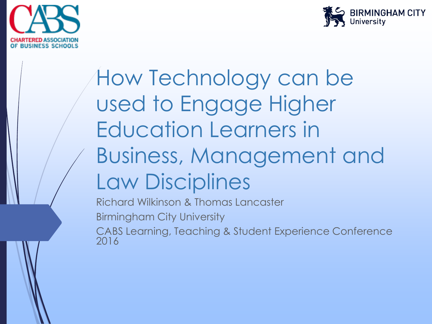



## How Technology can be used to Engage Higher Education Learners in Business, Management and Law Disciplines

Richard Wilkinson & Thomas Lancaster Birmingham City University CABS Learning, Teaching & Student Experience Conference 2016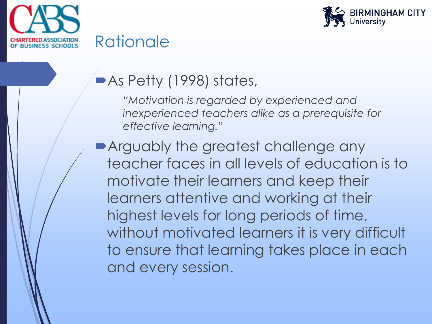



### As Petty (1998) states,

*"Motivation is regarded by experienced and inexperienced teachers alike as a prerequisite for effective learning."* 

**Arguably the greatest challenge any** teacher faces in all levels of education is to motivate their learners and keep their learners attentive and working at their highest levels for long periods of time, without motivated learners it is very difficult to ensure that learning takes place in each and every session.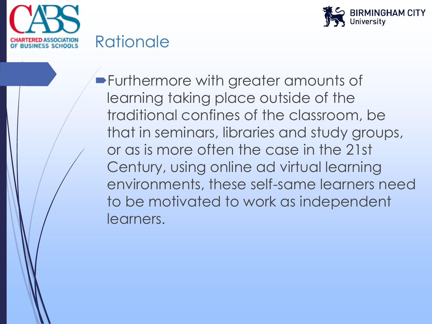



#### **Rationale**

**Furthermore with greater amounts of** learning taking place outside of the traditional confines of the classroom, be that in seminars, libraries and study groups, or as is more often the case in the 21st Century, using online ad virtual learning environments, these self-same learners need to be motivated to work as independent learners.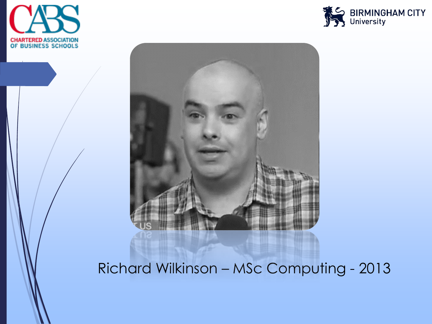





#### Richard Wilkinson – MSc Computing - 2013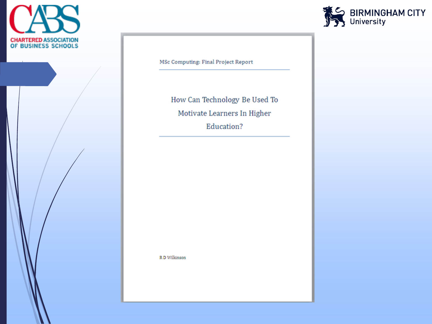



MSc Computing: Final Project Report

How Can Technology Be Used To Motivate Learners In Higher Education?

R D Wilkinson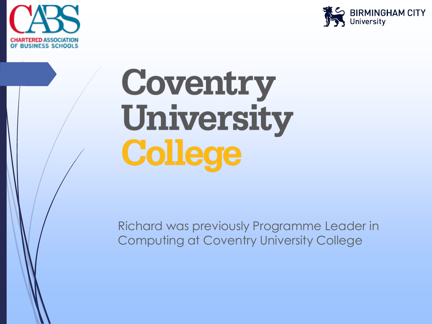



# Coventry University College

Richard was previously Programme Leader in Computing at Coventry University College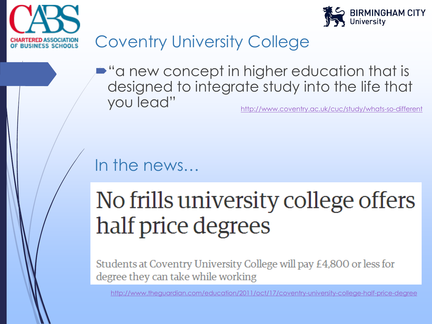



### Coventry University College

 $\blacktriangleright$  "a new concept in higher education that is designed to integrate study into the life that you lead" <http://www.coventry.ac.uk/cuc/study/whats-so-different>

#### In the news…

## No frills university college offers half price degrees

Students at Coventry University College will pay £4,800 or less for degree they can take while working

<http://www.theguardian.com/education/2011/oct/17/coventry-university-college-half-price-degree>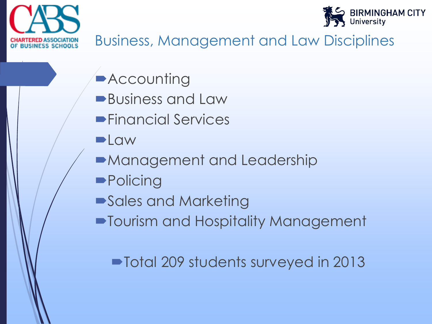



#### Business, Management and Law Disciplines

- **Accounting**
- ■Business and Law
- **Financial Services**
- **D**Law
- Management and Leadership
- **Policing**
- Sales and Marketing
- Tourism and Hospitality Management

Total 209 students surveyed in 2013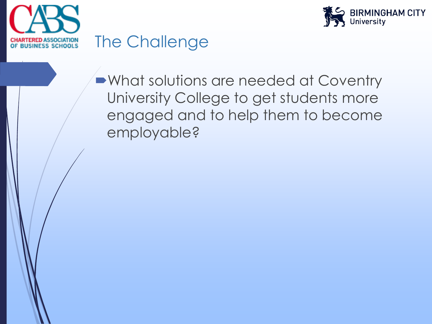



What solutions are needed at Coventry University College to get students more engaged and to help them to become employable?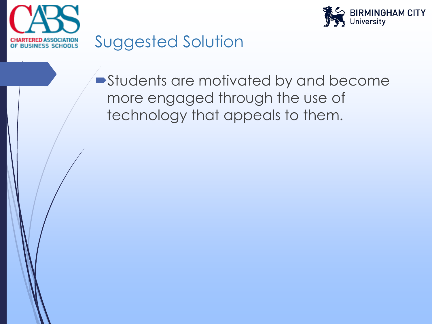



#### Suggested Solution

**Students are motivated by and become** more engaged through the use of technology that appeals to them.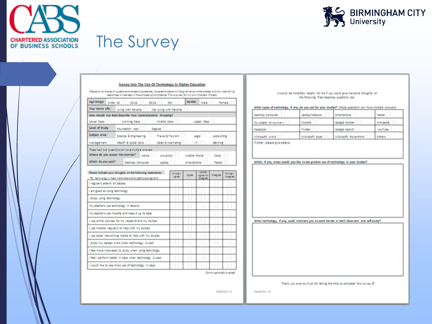



#### Survey Into The Use Of Technology In Higher Education

The Survey

Please by to ansier of questions as honesty as possible, no personal details will be given to any other bodes, and any identifying responses will be heat in the strictest of confidence. This is purely for my own Mosters' Project.

| Age Range: Under 20               | 20-24<br>25-34                                            | 35+               | Gender:<br>Male | Female     |
|-----------------------------------|-----------------------------------------------------------|-------------------|-----------------|------------|
| Your Home Life:                   | Living with Parents   Not Living with Parents             |                   |                 |            |
|                                   | How Would You Best Describe Your Socio-Economic Grouping? |                   |                 |            |
| Lower Class                       | Working Class                                             | Middle Cass       | Upper Class     |            |
| Level of Study:                   | Foundation year.                                          | Depree            |                 |            |
| Subject Area:                     | Science & Engineering                                     | Travel & Tourism  | Legal in        | Accounting |
| Management                        | Health & Social Care                                      | Sales & Marketing | LE.             | Banking    |
|                                   | These next two questions can have multiple anawara        |                   |                 |            |
| Where do you access the internet? | Home I                                                    | University        | Mobile Phone    | None       |
| Which do you own?                 | Desktop Computer                                          | Lactoc            | Smartphone      | Tablet     |

| Please indicate your thoughts on the following statements.<br>*By 'sechnology' I mean hardware and/or safeware/programs | <b>Strongly</b><br>48.98 | 68.94 | <b>RackFast</b><br>Agree nor<br>Disagree. | <b>Disagree</b>          | donorg/y<br>Disserve |
|-------------------------------------------------------------------------------------------------------------------------|--------------------------|-------|-------------------------------------------|--------------------------|----------------------|
| I regularly attend all classes                                                                                          |                          |       |                                           |                          |                      |
| I am good at using technology                                                                                           |                          |       |                                           |                          |                      |
| I enjoy using technology                                                                                                |                          |       |                                           |                          |                      |
| My teachers use technology in lessons                                                                                   |                          |       |                                           |                          |                      |
| My teachers use Moodle and keep it up to date                                                                           |                          |       |                                           |                          |                      |
| I use online sources for my nesearch and my studies                                                                     |                          |       |                                           |                          |                      |
| I use Moodle regularly to help with my studies                                                                          |                          |       |                                           |                          |                      |
| I use social networking media to help with my studies                                                                   |                          |       |                                           |                          |                      |
| Fenjoy my dasses more when technology, is used.                                                                         |                          |       |                                           |                          |                      |
| I feel more motivated to study when using technology.                                                                   |                          |       |                                           |                          |                      |
| I feel I perform better in class when technology is used                                                                |                          |       |                                           |                          |                      |
| I would like to see more use of technology in class.                                                                    |                          |       |                                           |                          |                      |
|                                                                                                                         |                          |       |                                           | Continued bright-evering |                      |

#### it would be incredibly height for me if you could give measone thoughts on the following thee response questions too.

What types of technology, if any, do you use for your studies? (these questions can have multiple answers)

| Desktop Computer                                                                             | Laptop/Netbook   | Smartphone            | Tablet    |  |  |  |  |  |  |
|----------------------------------------------------------------------------------------------|------------------|-----------------------|-----------|--|--|--|--|--|--|
| CU Locate (pnine Lisrary)                                                                    | Moodle           | doople Scholar        | wikipeda. |  |  |  |  |  |  |
| Facebook                                                                                     | Twitter          | Google Search         | YouTube   |  |  |  |  |  |  |
| Microsoft: Word                                                                              | Microsoft: Expel | Microsoft: PowerPoint | others    |  |  |  |  |  |  |
| if other (please give details):                                                              |                  |                       |           |  |  |  |  |  |  |
|                                                                                              |                  |                       |           |  |  |  |  |  |  |
|                                                                                              |                  |                       |           |  |  |  |  |  |  |
| Which, if any, areas would you like to see greater use of technology in your studies?        |                  |                       |           |  |  |  |  |  |  |
|                                                                                              |                  |                       |           |  |  |  |  |  |  |
|                                                                                              |                  |                       |           |  |  |  |  |  |  |
|                                                                                              |                  |                       |           |  |  |  |  |  |  |
|                                                                                              |                  |                       |           |  |  |  |  |  |  |
|                                                                                              |                  |                       |           |  |  |  |  |  |  |
|                                                                                              |                  |                       |           |  |  |  |  |  |  |
|                                                                                              |                  |                       |           |  |  |  |  |  |  |
| What technology, if any, could motivate you to work harder in both classroom and self-study? |                  |                       |           |  |  |  |  |  |  |
|                                                                                              |                  |                       |           |  |  |  |  |  |  |
|                                                                                              |                  |                       |           |  |  |  |  |  |  |
|                                                                                              |                  |                       |           |  |  |  |  |  |  |
|                                                                                              |                  |                       |           |  |  |  |  |  |  |
|                                                                                              |                  |                       |           |  |  |  |  |  |  |
|                                                                                              |                  |                       |           |  |  |  |  |  |  |
|                                                                                              |                  |                       |           |  |  |  |  |  |  |
|                                                                                              |                  |                       |           |  |  |  |  |  |  |

Thank you ever so much for taking the time to complete this survey @

Appendot | A

Appendot | A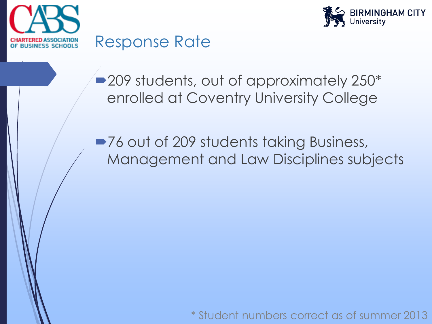



#### Response Rate

■ 209 students, out of approximately 250\* enrolled at Coventry University College

■76 out of 209 students taking Business, Management and Law Disciplines subjects

\* Student numbers correct as of summer 2013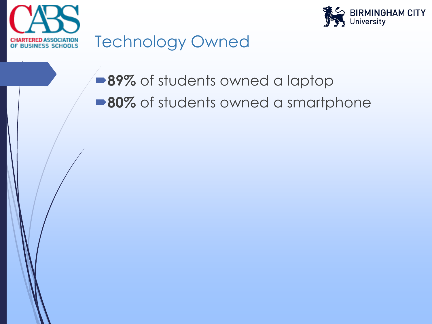



#### ■89% of students owned a laptop ■80% of students owned a smartphone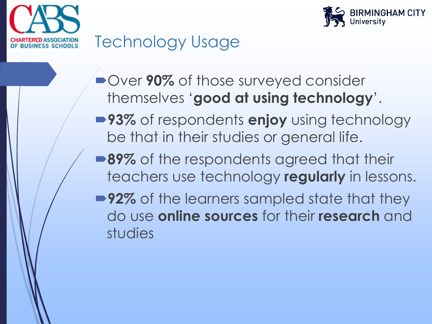



#### Technology Usage

- ■Over 90% of those surveyed consider themselves '**good at using technology**'.
- **93%** of respondents **enjoy** using technology be that in their studies or general life.
- ■89% of the respondents agreed that their teachers use technology **regularly** in lessons.
- ■92% of the learners sampled state that they do use **online sources** for their **research** and studies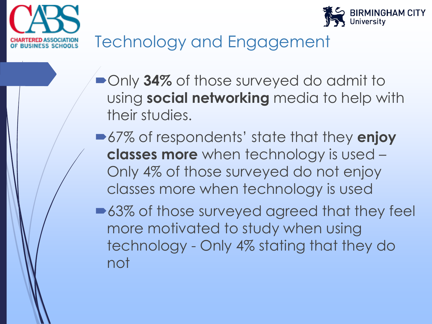



#### Technology and Engagement

- **Decime 10 and 10 and 10 and 10 and 10 and 10 and 10 and 10 and 10 and 10 and 10 and 10 and 10 and 10 and 10 and 10 and 10 and 10 and 10 and 10 and 10 and 10 and 10 and 10 and 10 and 10 and 10 and 10 and 10 and 10 and 10 a** using **social networking** media to help with their studies.
- 67% of respondents' state that they **enjoy classes more** when technology is used – Only 4% of those surveyed do not enjoy classes more when technology is used
- ■63% of those surveyed agreed that they feel more motivated to study when using technology - Only 4% stating that they do not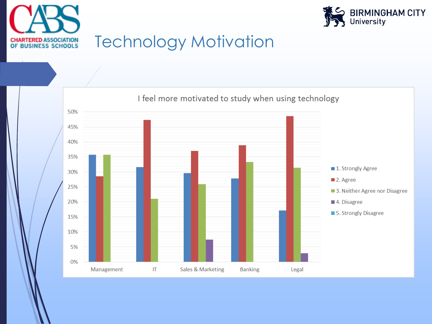



#### Technology Motivation

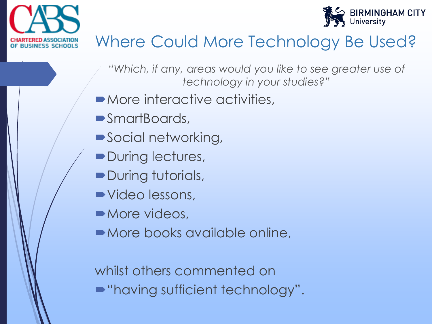



### Where Could More Technology Be Used?

- *"Which, if any, areas would you like to see greater use of technology in your studies?"*
- **More interactive activities,**
- SmartBoards,
- Social networking,
- During lectures,
- During tutorials,
- Video lessons,
- **More videos,**
- More books available online,

whilst others commented on

"having sufficient technology".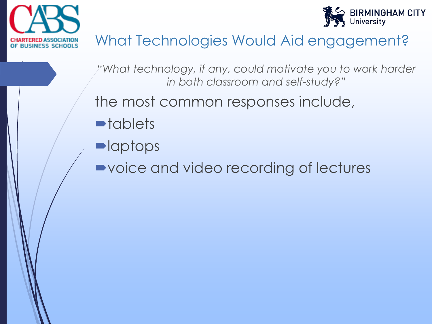



#### What Technologies Would Aid engagement?

*"What technology, if any, could motivate you to work harder in both classroom and self-study?"*

the most common responses include,

- **n**tablets
- **D**laptops

■ voice and video recording of lectures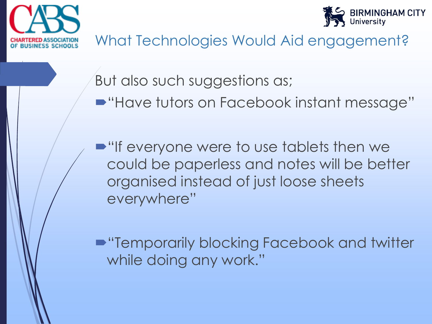



#### What Technologies Would Aid engagement?

But also such suggestions as;

"Have tutors on Facebook instant message"

• "If everyone were to use tablets then we could be paperless and notes will be better organised instead of just loose sheets everywhere"

 $\blacksquare$  "Temporarily blocking Facebook and twitter while doing any work."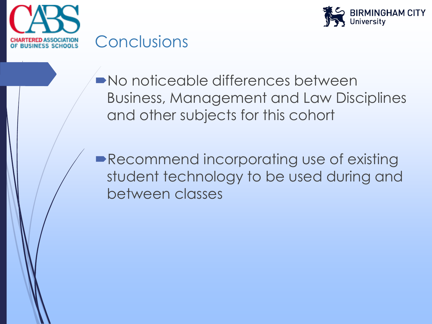



#### **Conclusions**

No noticeable differences between Business, Management and Law Disciplines and other subjects for this cohort

■Recommend incorporating use of existing student technology to be used during and between classes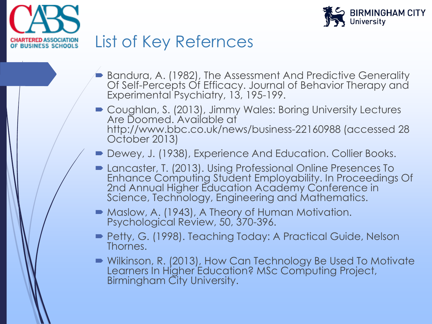



#### List of Key Refernces

- Bandura, A. (1982), The Assessment And Predictive Generality Of Self-Percepts Of Efficacy. Journal of Behavior Therapy and Experimental Psychiatry, 13, 195-199.
- Coughlan, S. (2013), Jimmy Wales: Boring University Lectures Are Doomed. Available at http://www.bbc.co.uk/news/business-22160988 (accessed 28 October 2013)
- Dewey, J. (1938), Experience And Education. Collier Books.
- Lancaster, T. (2013). Using Professional Online Presences To Enhance Computing Student Employability. In Proceedings Of 2nd Annual Higher Education Academy Conference in Science, Technology, Engineering and Mathematics.
- Maslow, A. (1943), A Theory of Human Motivation. Psychological Review, 50, 370-396.
- Petty, G. (1998). Teaching Today: A Practical Guide, Nelson Thornes.
- Wilkinson, R. (2013), How Can Technology Be Used To Motivate Learners In Higher Education? MSc Computing Project, Birmingham City University.